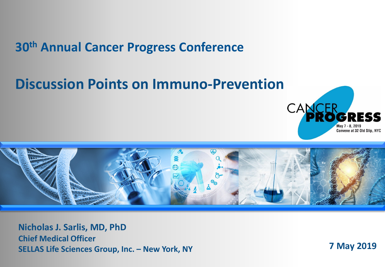## **30th Annual Cancer Progress Conference**

# **Discussion Points on Immuno-Prevention**





**Nicholas J. Sarlis, MD, PhD Chief Medical Officer SELLAS Life Sciences Group, Inc. – New York, NY 7 May 2019**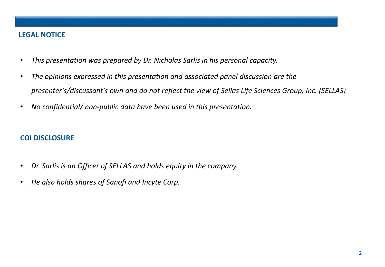#### **LEGAL NOTICE**

- *This presentation was prepared by Dr. Nicholas Sarlis in his personal capacity.*
- *The opinions expressed in this presentation and associated panel discussion are the presenter's/discussant's own and do not reflect the view of Sellas Life Sciences Group, Inc. (SELLAS)*
- *No confidential/ non-public data have been used in this presentation.*

#### **COI DISCLOSURE**

- *Dr. Sarlis is an Officer of SELLAS and holds equity in the company.*
- *He also holds shares of Sanofi and Incyte Corp.*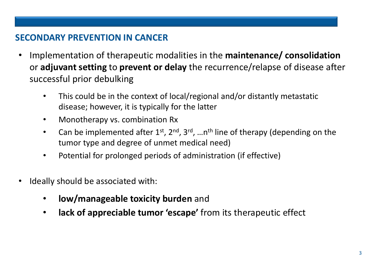### **SECONDARY PREVENTION IN CANCER**

- Implementation of therapeutic modalities in the **maintenance/ consolidation** or **adjuvant setting** to **prevent or delay** the recurrence/relapse of disease after successful prior debulking
	- This could be in the context of local/regional and/or distantly metastatic disease; however, it is typically for the latter
	- Monotherapy vs. combination Rx
	- Can be implemented after  $1^{st}$ ,  $2^{nd}$ ,  $3^{rd}$ , ... n<sup>th</sup> line of therapy (depending on the tumor type and degree of unmet medical need)
	- Potential for prolonged periods of administration (if effective)
- Ideally should be associated with:
	- **low/manageable toxicity burden** and
	- **lack of appreciable tumor 'escape'** from its therapeutic effect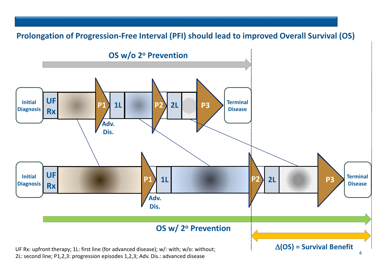



2L: second line; P1,2,3: progression episodes 1,2,3; Adv. Dis.: advanced disease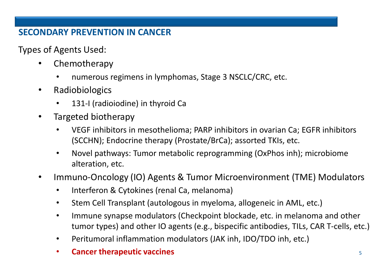### **SECONDARY PREVENTION IN CANCER**

Types of Agents Used:

- Chemotherapy
	- numerous regimens in lymphomas, Stage 3 NSCLC/CRC, etc.
- Radiobiologics
	- 131-I (radioiodine) in thyroid Ca
- Targeted biotherapy
	- VEGF inhibitors in mesothelioma; PARP inhibitors in ovarian Ca; EGFR inhibitors (SCCHN); Endocrine therapy (Prostate/BrCa); assorted TKIs, etc.
	- Novel pathways: Tumor metabolic reprogramming (OxPhos inh); microbiome alteration, etc.
- Immuno-Oncology (IO) Agents & Tumor Microenvironment (TME) Modulators
	- Interferon & Cytokines (renal Ca, melanoma)
	- Stem Cell Transplant (autologous in myeloma, allogeneic in AML, etc.)
	- Immune synapse modulators (Checkpoint blockade, etc. in melanoma and other tumor types) and other IO agents (e.g., bispecific antibodies, TILs, CAR T-cells, etc.)
	- Peritumoral inflammation modulators (JAK inh, IDO/TDO inh, etc.)
	- **Cancer therapeutic vaccines 5**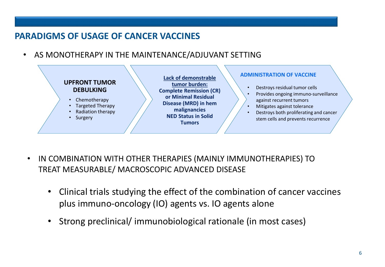#### **PARADIGMS OF USAGE OF CANCER VACCINES**

• AS MONOTHERAPY IN THE MAINTENANCE/ADJUVANT SETTING



- IN COMBINATION WITH OTHER THERAPIES (MAINLY IMMUNOTHERAPIES) TO TREAT MEASURABLE/ MACROSCOPIC ADVANCED DISEASE
	- Clinical trials studying the effect of the combination of cancer vaccines plus immuno-oncology (IO) agents vs. IO agents alone
	- Strong preclinical/ immunobiological rationale (in most cases)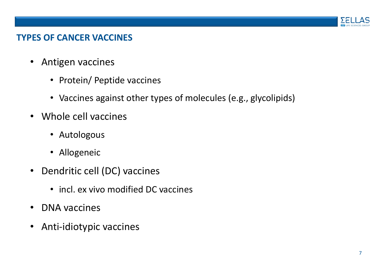

#### **TYPES OF CANCER VACCINES**

- Antigen vaccines
	- Protein/ Peptide vaccines
	- Vaccines against other types of molecules (e.g., glycolipids)
- Whole cell vaccines
	- Autologous
	- Allogeneic
- Dendritic cell (DC) vaccines
	- incl. ex vivo modified DC vaccines
- DNA vaccines
- Anti-idiotypic vaccines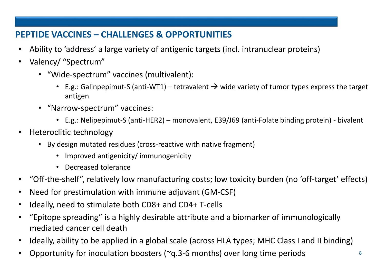## **PEPTIDE VACCINES – CHALLENGES & OPPORTUNITIES**

- Ability to 'address' a large variety of antigenic targets (incl. intranuclear proteins)
- Valency/ "Spectrum"
	- "Wide-spectrum" vaccines (multivalent):
		- E.g.: Galinpepimut-S (anti-WT1) tetravalent  $\rightarrow$  wide variety of tumor types express the target antigen
	- "Narrow-spectrum" vaccines:
		- E.g.: Nelipepimut-S (anti-HER2) monovalent, E39/J69 (anti-Folate binding protein) bivalent
- Heteroclitic technology
	- By design mutated residues (cross-reactive with native fragment)
		- Improved antigenicity/ immunogenicity
		- Decreased tolerance
- "Off-the-shelf", relatively low manufacturing costs; low toxicity burden (no 'off-target' effects)
- Need for prestimulation with immune adjuvant (GM-CSF)
- Ideally, need to stimulate both CD8+ and CD4+ T-cells
- "Epitope spreading" is a highly desirable attribute and a biomarker of immunologically mediated cancer cell death
- Ideally, ability to be applied in a global scale (across HLA types; MHC Class I and II binding)
- Opportunity for inoculation boosters (~q.3-6 months) over long time periods